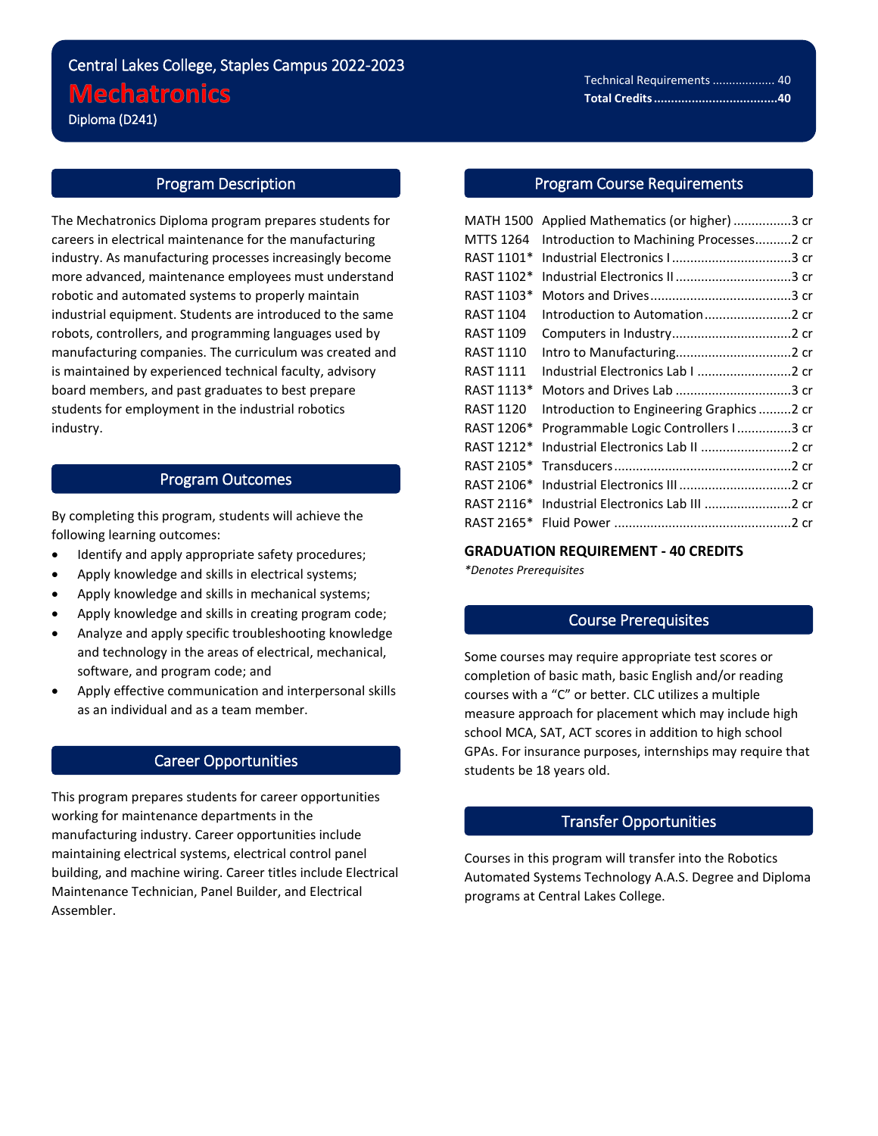## Central Lakes College, Staples Campus 2022-2023 **Mechatronics** Diploma (D241)

# Program Description

i<br>L

The Mechatronics Diploma program prepares students for careers in electrical maintenance for the manufacturing industry. As manufacturing processes increasingly become more advanced, maintenance employees must understand robotic and automated systems to properly maintain industrial equipment. Students are introduced to the same robots, controllers, and programming languages used by manufacturing companies. The curriculum was created and is maintained by experienced technical faculty, advisory board members, and past graduates to best prepare students for employment in the industrial robotics industry.

## Program Outcomes

By completing this program, students will achieve the following learning outcomes:

- Identify and apply appropriate safety procedures;
- Apply knowledge and skills in electrical systems;
- Apply knowledge and skills in mechanical systems;
- Apply knowledge and skills in creating program code;
- Analyze and apply specific troubleshooting knowledge and technology in the areas of electrical, mechanical, software, and program code; and
- Apply effective communication and interpersonal skills as an individual and as a team member.

## Career Opportunities

This program prepares students for career opportunities working for maintenance departments in the manufacturing industry. Career opportunities include maintaining electrical systems, electrical control panel building, and machine wiring. Career titles include Electrical Maintenance Technician, Panel Builder, and Electrical Assembler.

## Program Course Requirements

| <b>MATH 1500</b> | Applied Mathematics (or higher) 3 cr      |  |
|------------------|-------------------------------------------|--|
| <b>MTTS 1264</b> | Introduction to Machining Processes2 cr   |  |
| RAST 1101*       |                                           |  |
| RAST 1102*       |                                           |  |
| RAST 1103*       |                                           |  |
| <b>RAST 1104</b> |                                           |  |
| <b>RAST 1109</b> |                                           |  |
| <b>RAST 1110</b> |                                           |  |
| <b>RAST 1111</b> | Industrial Electronics Lab I 2 cr         |  |
| RAST 1113*       |                                           |  |
| <b>RAST 1120</b> | Introduction to Engineering Graphics 2 cr |  |
| RAST 1206*       | Programmable Logic Controllers I3 cr      |  |
| RAST 1212*       | Industrial Electronics Lab II 2 cr        |  |
| RAST 2105*       |                                           |  |
| RAST 2106*       |                                           |  |
| RAST 2116*       | Industrial Electronics Lab III 2 cr       |  |
| RAST 2165*       |                                           |  |
|                  |                                           |  |

**GRADUATION REQUIREMENT - 40 CREDITS**

*\*Denotes Prerequisites*

#### Course Prerequisites

Some courses may require appropriate test scores or completion of basic math, basic English and/or reading courses with a "C" or better. CLC utilizes a multiple measure approach for placement which may include high school MCA, SAT, ACT scores in addition to high school GPAs. For insurance purposes, internships may require that students be 18 years old.

## Transfer Opportunities

Courses in this program will transfer into the Robotics Automated Systems Technology A.A.S. Degree and Diploma programs at Central Lakes College.